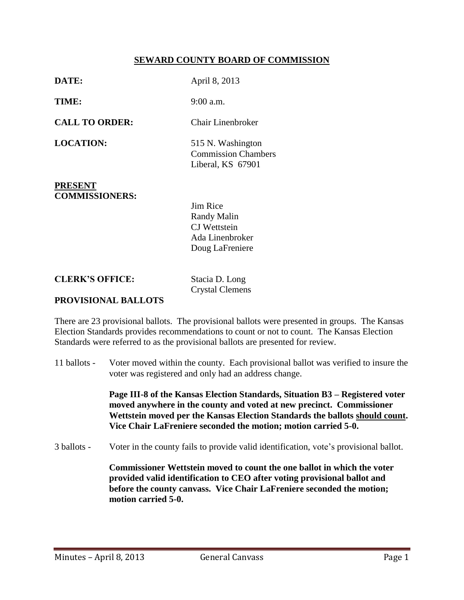## **SEWARD COUNTY BOARD OF COMMISSION**

| DATE:                                   | April 8, 2013                                                                               |
|-----------------------------------------|---------------------------------------------------------------------------------------------|
| TIME:                                   | $9:00$ a.m.                                                                                 |
| <b>CALL TO ORDER:</b>                   | Chair Linenbroker                                                                           |
| <b>LOCATION:</b>                        | 515 N. Washington<br><b>Commission Chambers</b><br>Liberal, KS 67901                        |
| <b>PRESENT</b><br><b>COMMISSIONERS:</b> | <b>Jim Rice</b><br><b>Randy Malin</b><br>CJ Wettstein<br>Ada Linenbroker<br>Doug LaFreniere |

**CLERK'S OFFICE:** Stacia D. Long

Crystal Clemens

## **PROVISIONAL BALLOTS**

There are 23 provisional ballots. The provisional ballots were presented in groups. The Kansas Election Standards provides recommendations to count or not to count. The Kansas Election Standards were referred to as the provisional ballots are presented for review.

11 ballots - Voter moved within the county. Each provisional ballot was verified to insure the voter was registered and only had an address change.

> **Page III-8 of the Kansas Election Standards, Situation B3 – Registered voter moved anywhere in the county and voted at new precinct. Commissioner Wettstein moved per the Kansas Election Standards the ballots should count. Vice Chair LaFreniere seconded the motion; motion carried 5-0.**

3 ballots - Voter in the county fails to provide valid identification, vote's provisional ballot.

**Commissioner Wettstein moved to count the one ballot in which the voter provided valid identification to CEO after voting provisional ballot and before the county canvass. Vice Chair LaFreniere seconded the motion; motion carried 5-0.**